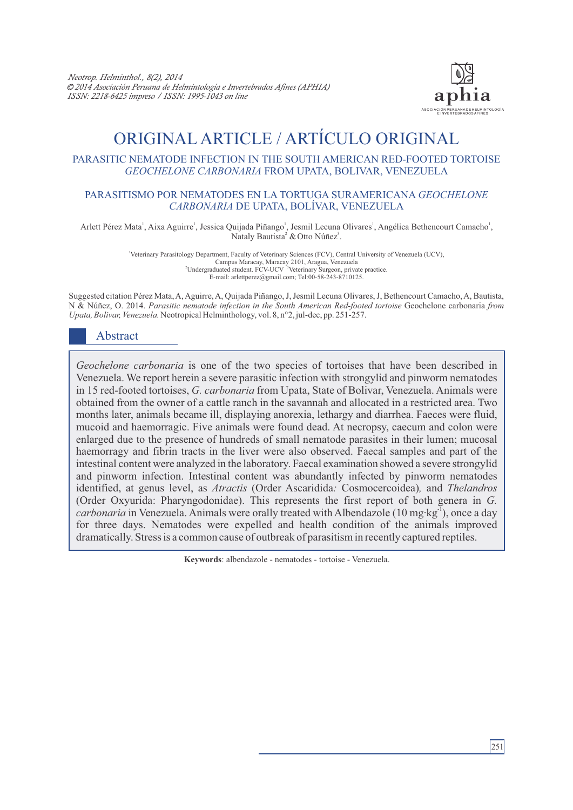

# ORIGINAL ARTICLE / ARTÍCULO ORIGINAL

#### PARASITIC NEMATODE INFECTION IN THE SOUTH AMERICAN RED-FOOTED TORTOISE *GEOCHELONE CARBONARIA* FROM UPATA, BOLIVAR, VENEZUELA

#### PARASITISMO POR NEMATODES EN LA TORTUGA SURAMERICANA *GEOCHELONE CARBONARIA* DE UPATA, BOLÍVAR, VENEZUELA

Arlett Pérez Mata<sup>1</sup>, Aixa Aguirre<sup>1</sup>, Jessica Quijada Piñango<sup>1</sup>, Jesmil Lecuna Olivares<sup>1</sup>, Angélica Bethencourt Camacho<sup>1</sup>, Nataly Bautista<sup>2</sup> & Otto Núñez<sup>3</sup>.

> <sup>1</sup>Veterinary Parasitology Department, Faculty of Veterinary Sciences (FCV), Central University of Venezuela (UCV), <sup>2</sup> Campus Maracay, Maracay 2101, Aragua, Venezuela<br><sup>2</sup> Undergraduated student. FCV-UCV<sup>3</sup> Veterinary Surgeon, private practice. E-mail: arlettperez@gmail.com; Tel:00-58-243-8710125.

Suggested citation Pérez Mata, A, Aguirre, A, Quijada Piñango, J, Jesmil Lecuna Olivares, J, Bethencourt Camacho, A, Bautista, N & Núñez, O. 2014. *Parasitic nematode infection in the South American Red-footed tortoise* Geochelone carbonaria *from Upata, Bolivar, Venezuela.* Neotropical Helminthology, vol. 8, n°2, jul-dec, pp. 251-257.

## Abstract

*Geochelone carbonaria* is one of the two species of tortoises that have been described in Venezuela. We report herein a severe parasitic infection with strongylid and pinworm nematodes in 15 red-footed tortoises, *G. carbonaria* from Upata, State of Bolivar, Venezuela. Animals were obtained from the owner of a cattle ranch in the savannah and allocated in a restricted area. Two months later, animals became ill, displaying anorexia, lethargy and diarrhea. Faeces were fluid, mucoid and haemorragic. Five animals were found dead. At necropsy, caecum and colon were enlarged due to the presence of hundreds of small nematode parasites in their lumen; mucosal haemorragy and fibrin tracts in the liver were also observed. Faecal samples and part of the intestinal content were analyzed in the laboratory. Faecal examination showed a severe strongylid and pinworm infection. Intestinal content was abundantly infected by pinworm nematodes identified, at genus level, as *Atractis* (Order Ascaridida*:* Cosmocercoidea)*,* and *Thelandros* (Order Oxyurida: Pharyngodonidae). This represents the first report of both genera in *G. carbonaria* in Venezuela. Animals were orally treated with Albendazole (10 mg·kg<sup>-1</sup>), once a day for three days. Nematodes were expelled and health condition of the animals improved dramatically. Stress is a common cause of outbreak of parasitism in recently captured reptiles.

**Keywords**: albendazole - nematodes - tortoise - Venezuela.

251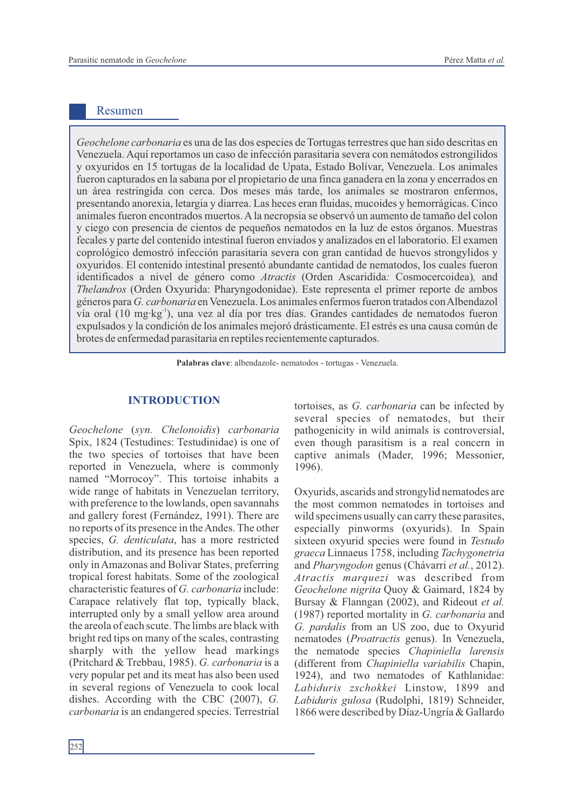### Resumen

*Geochelone carbonaria* es una de las dos especies de Tortugas terrestres que han sido descritas en Venezuela. Aquí reportamos un caso de infección parasitaria severa con nemátodos estrongilidos y oxyuridos en 15 tortugas de la localidad de Upata, Estado Bolívar, Venezuela. Los animales fueron capturados en la sabana por el propietario de una finca ganadera en la zona y encerrados en un área restringida con cerca. Dos meses más tarde, los animales se mostraron enfermos, presentando anorexia, letargia y diarrea. Las heces eran fluidas, mucoides y hemorrágicas. Cinco animales fueron encontrados muertos. Ala necropsia se observó un aumento de tamaño del colon y ciego con presencia de cientos de pequeños nematodos en la luz de estos órganos. Muestras fecales y parte del contenido intestinal fueron enviados y analizados en el laboratorio. El examen coprológico demostró infección parasitaria severa con gran cantidad de huevos strongylidos y oxyuridos. El contenido intestinal presentó abundante cantidad de nematodos, los cuales fueron identificados a nivel de género como *Atractis* (Orden Ascaridida*:* Cosmocercoidea)*,* and *Thelandros* (Orden Oxyurida: Pharyngodonidae). Este representa el primer reporte de ambos géneros para *G. carbonaria* en Venezuela. Los animales enfermos fueron tratados con Albendazol vía oral (10 mg·kg<sup>-1</sup>), una vez al día por tres días. Grandes cantidades de nematodos fueron expulsados y la condición de los animales mejoró drásticamente. El estrés es una causa común de brotes de enfermedad parasitaria en reptiles recientemente capturados.

**Palabras clave**: albendazole- nematodos - tortugas - Venezuela.

*Geochelone* (*syn. Chelonoidis*) *carbonaria* Spix, 1824 (Testudines: Testudinidae) is one of the two species of tortoises that have been reported in Venezuela, where is commonly named "Morrocoy". This tortoise inhabits a wide range of habitats in Venezuelan territory, with preference to the lowlands, open savannahs and gallery forest (Fernández, 1991). There are no reports of its presence in the Andes. The other species, *G. denticulata*, has a more restricted distribution, and its presence has been reported only in Amazonas and Bolivar States, preferring tropical forest habitats. Some of the zoological characteristic features of *G. carbonaria* include: Carapace relatively flat top, typically black, interrupted only by a small yellow area around the areola of each scute. The limbs are black with bright red tips on many of the scales, contrasting sharply with the yellow head markings (Pritchard & Trebbau, 1985). *G. carbonaria* is a very popular pet and its meat has also been used in several regions of Venezuela to cook local dishes. According with the CBC (2007), *G. carbonaria* is an endangered species. Terrestrial

**INTRODUCTION** tortoises, as *G. carbonaria* can be infected by several species of nematodes, but their pathogenicity in wild animals is controversial, even though parasitism is a real concern in captive animals (Mader, 1996; Messonier, 1996).

> Oxyurids, ascarids and strongylid nematodes are the most common nematodes in tortoises and wild specimens usually can carry these parasites, especially pinworms (oxyurids). In Spain sixteen oxyurid species were found in *Testudo graeca* Linnaeus 1758, including *Tachygonetria* and *Pharyngodon* genus (Chávarri *et al.*, 2012). *Atractis marquezi* was described from *Geochelone nigrita* Quoy & Gaimard, 1824 by Bursay & Flanngan (2002), and Rideout *et al.* (1987) reported mortality in *G. carbonaria* and *G. pardalis* from an US zoo, due to Oxyurid nematodes (*Proatractis* genus). In Venezuela, the nematode species *Chapiniella larensis* (different from *Chapiniella variabilis* Chapin, 1924), and two nematodes of Kathlanidae: *Labiduris zschokkei* Linstow, 1899 and *Labiduris gulosa* (Rudolphi, 1819) Schneider, 1866 were described by Díaz-Ungría & Gallardo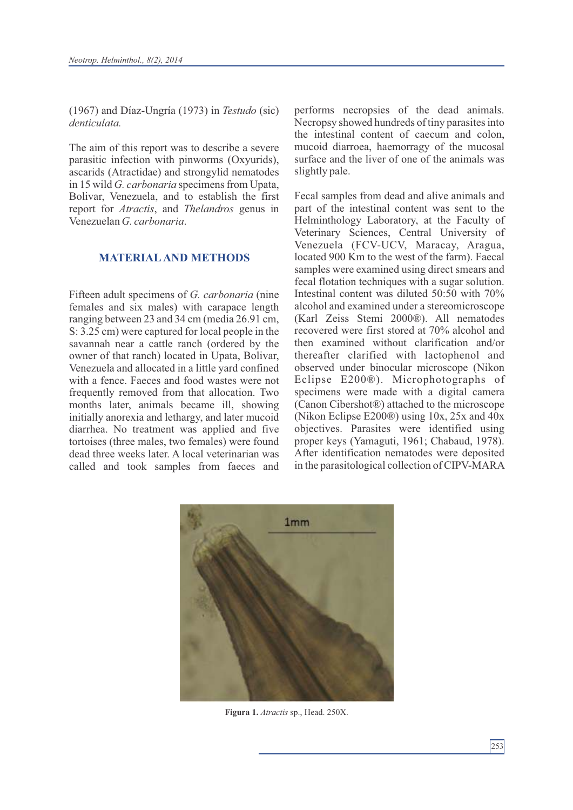(1967) and Díaz-Ungría (1973) in *Testudo* (sic) *denticulata.*

The aim of this report was to describe a severe parasitic infection with pinworms (Oxyurids), ascarids (Atractidae) and strongylid nematodes in 15 wild *G. carbonaria* specimens from Upata, Bolivar, Venezuela, and to establish the first report for *Atractis*, and *Thelandros* genus in Venezuelan *G. carbonaria*.

### **MATERIALAND METHODS**

Fifteen adult specimens of *G. carbonaria* (nine females and six males) with carapace length ranging between 23 and 34 cm (media 26.91 cm, S: 3.25 cm) were captured for local people in the savannah near a cattle ranch (ordered by the owner of that ranch) located in Upata, Bolivar, Venezuela and allocated in a little yard confined with a fence. Faeces and food wastes were not frequently removed from that allocation. Two months later, animals became ill, showing initially anorexia and lethargy, and later mucoid diarrhea. No treatment was applied and five tortoises (three males, two females) were found dead three weeks later. A local veterinarian was called and took samples from faeces and performs necropsies of the dead animals. Necropsy showed hundreds of tiny parasites into the intestinal content of caecum and colon, mucoid diarroea, haemorragy of the mucosal surface and the liver of one of the animals was slightly pale.

Fecal samples from dead and alive animals and part of the intestinal content was sent to the Helminthology Laboratory, at the Faculty of Veterinary Sciences, Central University of Venezuela (FCV-UCV, Maracay, Aragua, located 900 Km to the west of the farm). Faecal samples were examined using direct smears and fecal flotation techniques with a sugar solution. Intestinal content was diluted 50:50 with 70% alcohol and examined under a stereomicroscope (Karl Zeiss Stemi 2000®). All nematodes recovered were first stored at 70% alcohol and then examined without clarification and/or thereafter clarified with lactophenol and observed under binocular microscope (Nikon Eclipse E200®). Microphotographs of specimens were made with a digital camera (Canon Cibershot®) attached to the microscope (Nikon Eclipse E200®) using 10x, 25x and 40x objectives. Parasites were identified using proper keys (Yamaguti, 1961; Chabaud, 1978). After identification nematodes were deposited in the parasitological collection of CIPV-MARA



 **Figura 1.** *Atractis* sp., Head. 250X.

253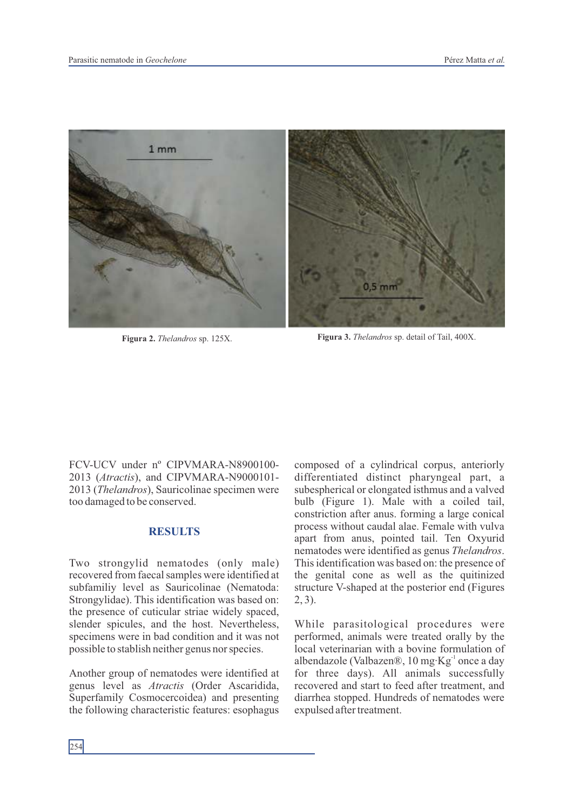

**Figura 2.** *Thelandros* sp. 125X. **Figura 3.** *Thelandros* sp. detail of Tail, 400X.

FCV-UCV under nº CIPVMARA-N8900100- 2013 (*Atractis*), and CIPVMARA-N9000101- 2013 (*Thelandros*), Sauricolinae specimen were too damaged to be conserved.

#### **RESULTS**

Two strongylid nematodes (only male) recovered from faecal samples were identified at subfamiliy level as Sauricolinae (Nematoda: Strongylidae). This identification was based on: the presence of cuticular striae widely spaced, slender spicules, and the host. Nevertheless, specimens were in bad condition and it was not possible to stablish neither genus nor species.

Another group of nematodes were identified at genus level as *Atractis* (Order Ascaridida, Superfamily Cosmocercoidea) and presenting the following characteristic features: esophagus

composed of a cylindrical corpus, anteriorly differentiated distinct pharyngeal part, a subespherical or elongated isthmus and a valved bulb (Figure 1). Male with a coiled tail, constriction after anus. forming a large conical process without caudal alae. Female with vulva apart from anus, pointed tail. Ten Oxyurid nematodes were identified as genus *Thelandros*. This identification was based on: the presence of the genital cone as well as the quitinized structure V-shaped at the posterior end (Figures 2, 3).

While parasitological procedures were performed, animals were treated orally by the local veterinarian with a bovine formulation of albendazole (Valbazen®, 10 mg·Kg<sup>-1</sup> once a day for three days). All animals successfully recovered and start to feed after treatment, and diarrhea stopped. Hundreds of nematodes were expulsed after treatment.

254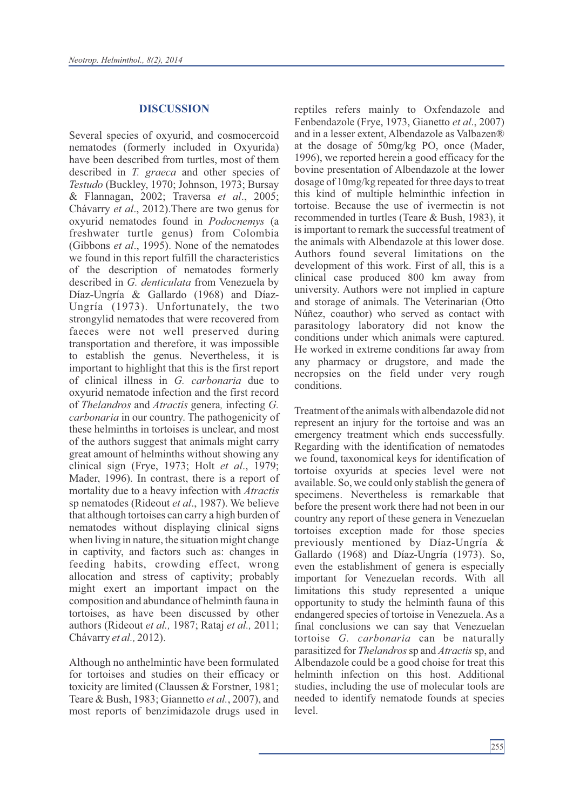#### **DISCUSSION**

Several species of oxyurid, and cosmocercoid nematodes (formerly included in Oxyurida) have been described from turtles, most of them described in *T. graeca* and other species of *Testudo* (Buckley, 1970; Johnson, 1973; Bursay & Flannagan, 2002; Traversa *et al*., 2005; Chávarry *et al*., 2012).There are two genus for oxyurid nematodes found in *Podocnemys* (a freshwater turtle genus) from Colombia (Gibbons *et al*., 1995). None of the nematodes we found in this report fulfill the characteristics of the description of nematodes formerly described in *G. denticulata* from Venezuela by Díaz-Ungría & Gallardo (1968) and Díaz-Ungría (1973). Unfortunately, the two strongylid nematodes that were recovered from faeces were not well preserved during transportation and therefore, it was impossible to establish the genus. Nevertheless, it is important to highlight that this is the first report of clinical illness in *G. carbonaria* due to oxyurid nematode infection and the first record of *Thelandros* and *Atractis* genera*,* infecting *G. carbonaria* in our country. The pathogenicity of these helminths in tortoises is unclear, and most of the authors suggest that animals might carry great amount of helminths without showing any clinical sign (Frye, 1973; Holt *et al*., 1979; Mader, 1996). In contrast, there is a report of mortality due to a heavy infection with *Atractis* sp nematodes (Rideout *et al*., 1987). We believe that although tortoises can carry a high burden of nematodes without displaying clinical signs when living in nature, the situation might change in captivity, and factors such as: changes in feeding habits, crowding effect, wrong allocation and stress of captivity; probably might exert an important impact on the composition and abundance of helminth fauna in tortoises, as have been discussed by other authors (Rideout *et al.,* 1987; Rataj *et al.,* 2011; Chávarry *et al.,* 2012).

Although no anthelmintic have been formulated for tortoises and studies on their efficacy or toxicity are limited (Claussen & Forstner, 1981; Teare & Bush, 1983; Giannetto *et al.*, 2007), and most reports of benzimidazole drugs used in reptiles refers mainly to Oxfendazole and Fenbendazole (Frye, 1973, Gianetto *et al*., 2007) and in a lesser extent, Albendazole as Valbazen® at the dosage of 50mg/kg PO, once (Mader, 1996), we reported herein a good efficacy for the bovine presentation of Albendazole at the lower dosage of 10mg/kg repeated for three days to treat this kind of multiple helminthic infection in tortoise. Because the use of ivermectin is not recommended in turtles (Teare & Bush, 1983), it is important to remark the successful treatment of the animals with Albendazole at this lower dose. Authors found several limitations on the development of this work. First of all, this is a clinical case produced 800 km away from university. Authors were not implied in capture and storage of animals. The Veterinarian (Otto Núñez, coauthor) who served as contact with parasitology laboratory did not know the conditions under which animals were captured. He worked in extreme conditions far away from any pharmacy or drugstore, and made the necropsies on the field under very rough conditions.

Treatment of the animals with albendazole did not represent an injury for the tortoise and was an emergency treatment which ends successfully. Regarding with the identification of nematodes we found, taxonomical keys for identification of tortoise oxyurids at species level were not available. So, we could only stablish the genera of specimens. Nevertheless is remarkable that before the present work there had not been in our country any report of these genera in Venezuelan tortoises exception made for those species previously mentioned by Díaz-Ungría & Gallardo (1968) and Díaz-Ungría (1973). So, even the establishment of genera is especially important for Venezuelan records. With all limitations this study represented a unique opportunity to study the helminth fauna of this endangered species of tortoise in Venezuela. As a final conclusions we can say that Venezuelan tortoise *G. carbonaria* can be naturally parasitized for *Thelandros*sp and *Atractis*sp, and Albendazole could be a good choise for treat this helminth infection on this host. Additional studies, including the use of molecular tools are needed to identify nematode founds at species level.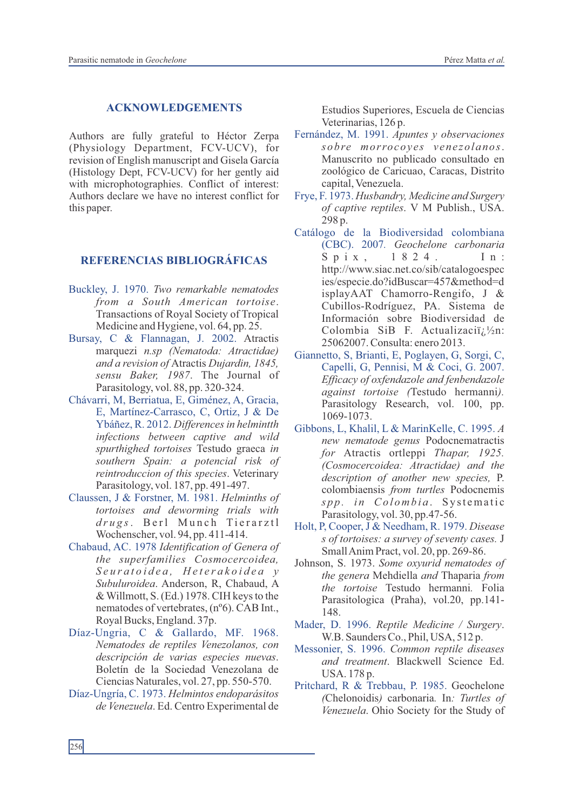#### **ACKNOWLEDGEMENTS**

Authors are fully grateful to Héctor Zerpa (Physiology Department, FCV-UCV), for revision of English manuscript and Gisela García (Histology Dept, FCV-UCV) for her gently aid with microphotographies. Conflict of interest: Authors declare we have no interest conflict for this paper.

### **REFERENCIAS BIBLIOGRÁFICAS**

- Buckley, J. 1970. *Two remarkable nematodes from a South American tortoise*. Transactions of Royal Society of Tropical Medicine and Hygiene, vol. 64, pp. 25.
- Bursay, C & Flannagan, J. 2002. Atractis marquezi *n.sp (Nematoda: Atractidae) and a revision of* Atractis *Dujardin, 1845, sensu Baker, 1987*. The Journal of Parasitology, vol. 88, pp. 320-324.
- Chávarri, M, Berriatua, E, Giménez, A, Gracia, E, Martínez-Carrasco, C, Ortiz, J & De Ybáñez, R. 2012. *Differences in helmintth infections between captive and wild spurthighed tortoises* Testudo graeca *in southern Spain: a potencial risk of reintroduccion of this species*. Veterinary Parasitology, vol. 187, pp. 491-497.
- Claussen, J & Forstner, M. 1981. *Helminths of tortoises and deworming trials with*  $drugs$ . Berl Munch Tierarztl Wochenscher, vol. 94, pp. 411-414.
- Chabaud, AC. 1978 *Identification of Genera of the superfamilies Cosmocercoidea, S e u r a t o i d e a , H e t e r a k o i d e a y Subuluroidea*. Anderson, R, Chabaud, A & Willmott, S. (Ed.) 1978. CIH keys to the nematodes of vertebrates, (nº6). CAB Int., Royal Bucks, England. 37p.
- Díaz-Ungria, C & Gallardo, MF. 1968. *Nematodes de reptiles Venezolanos, con descripción de varias especies nuevas*. Boletín de la Sociedad Venezolana de Ciencias Naturales, vol. 27, pp. 550-570.
- Díaz-Ungría, C. 1973. *Helmintos endoparásitos de Venezuela*. Ed. Centro Experimental de

Estudios Superiores, Escuela de Ciencias Veterinarias, 126 p.

- Fernández, M. 1991. *Apuntes y observaciones sobre morrocoy e s v ene zolanos*. Manuscrito no publicado consultado en zoológico de Caricuao, Caracas, Distrito capital, Venezuela.
- Frye, F. 1973. *Husbandry, Medicine and Surgery of captive reptiles*. V M Publish., USA. 298 p.
- Catálogo de la Biodiversidad colombiana (CBC). 2007*. Geochelone carbonaria* Spix, 1824. In: http://www.siac.net.co/sib/catalogoespec ies/especie.do?idBuscar=457&method=d isplayAAT Chamorro-Rengifo, J & Cubillos-Rodríguez, PA. Sistema de Información sobre Biodiversidad de Colombia SiB F. Actualizaci $i_{\lambda}$  /2n: 25062007. Consulta: enero 2013.
- Giannetto, S, Brianti, E, Poglayen, G, Sorgi, C, Capelli, G, Pennisi, M & Coci, G. 2007. *Efficacy of oxfendazole and fenbendazole against tortoise (*Testudo hermanni*).* Parasitology Research, vol. 100, pp. 1069-1073.
- Gibbons, L, Khalil, L & MarinKelle, C. 1995. *A new nematode genus* Podocnematractis *for* Atractis ortleppi *Thapar, 1925. (Cosmocercoidea: Atractidae) and the description of another new species,* P. colombiaensis *from turtles* Podocnemis *s p p . i n Co l omb i a* . Sy st ema ti c Parasitology, vol. 30, pp.47-56.
- Holt, P, Cooper, J & Needham, R. 1979. *Disease s of tortoises: a survey of seventy cases.* J Small Anim Pract, vol. 20, pp. 269-86.
- Johnson, S. 1973. *Some oxyurid nematodes of the genera* Mehdiella *and* Thaparia *from the tortoise* Testudo hermanni*.* Folia Parasitologica (Praha), vol.20, pp.141- 148.
- Mader, D. 1996. *Reptile Medicine / Surgery*. W.B. Saunders Co., Phil, USA, 512 p.
- Messonier, S. 1996. *Common reptile diseases and treatment*. Blackwell Science Ed. USA. 178 p.
- Pritchard, R & Trebbau, P. 1985. Geochelone *(*Chelonoidis*)* carbonaria*.* In*: Turtles of Venezuela*. Ohio Society for the Study of